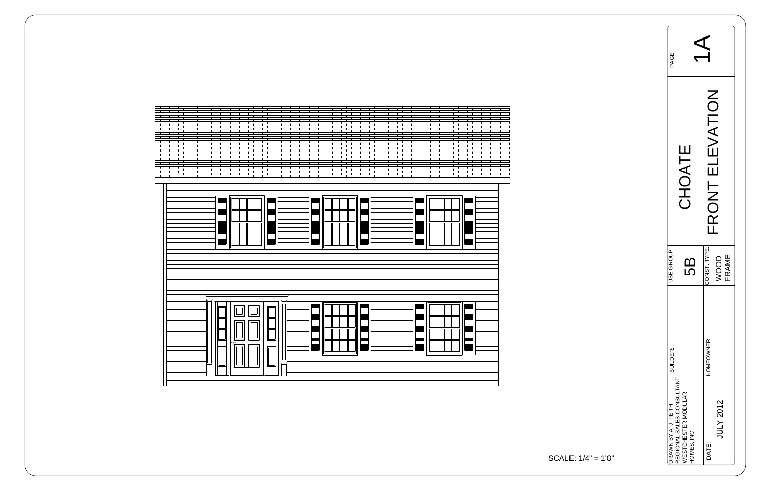| <u>E</u><br><u>E</u>                                                                                                                                          |  |
|---------------------------------------------------------------------------------------------------------------------------------------------------------------|--|
| a a bhaill an Saolain Aonaichte an Saolain Bhailleach an Saolain Bhailleach an Saolain Bhailleach an Dùbhlach<br>Bhailleach<br>E<br>$ \mathsf{P}_\mathsf{P} $ |  |

| PAGE:                |                                                                               |                                      |  |
|----------------------|-------------------------------------------------------------------------------|--------------------------------------|--|
|                      | <b>TAOHC</b>                                                                  | <b>NOLLAN</b><br>FRONT               |  |
| <b>JSE GROUP</b>     | ׁמוֹ                                                                          | CONST. TYPE.<br><b>FRAME</b><br>NOOD |  |
| <b>BUILDER:</b>      |                                                                               | HOMEOWNER:                           |  |
| DRAWN BY A. J. FEITH | REGIONAL SALES CONSULTANT<br><b><i>NESTCHESTER MODULAR</i></b><br>HOMES, INC. | JULY 2012<br>DATE:                   |  |

$$
ALE: 1/4" = 1'0"
$$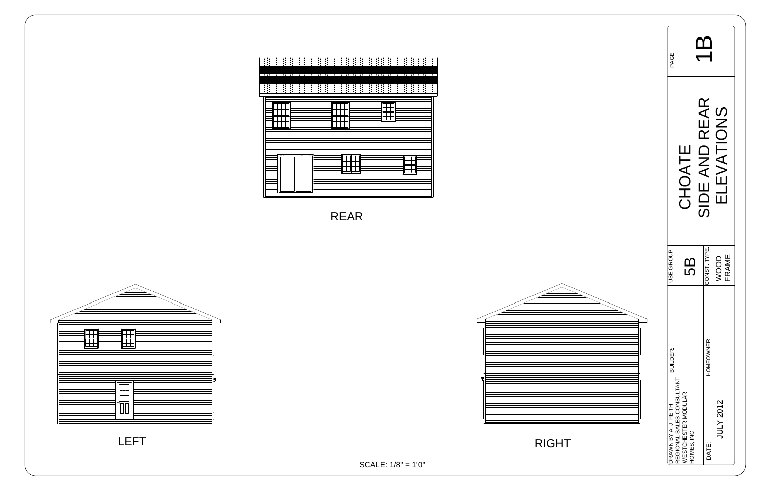| Li<br>PAGE:                                       |                                    | $\Box$        |               |
|---------------------------------------------------|------------------------------------|---------------|---------------|
|                                                   | CHOATE                             | SIDE AND REAR | ELEVATIONS    |
| USE GROUP                                         | 89                                 | CONST. TYPE.  | WOOD<br>FRAME |
| BUILDER:                                          |                                    | HOMEOWNER:    |               |
| REGIONAL SALES CONSULTANT<br>DRAWN BY A. J. FEITH | WESTCHESTER MODULAR<br>HOMES, INC. | DATE:         | JULY 2012     |





SCALE: 1/8" = 1'0"

RIGHT





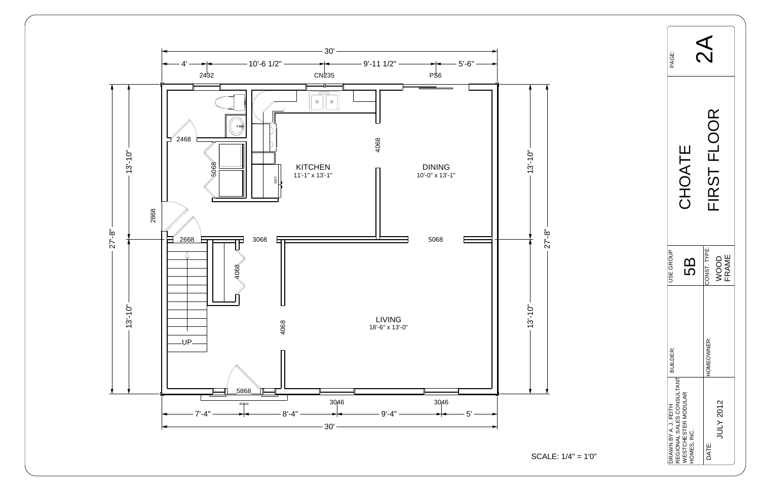

| PAGE:                                             |                                                  |                                      |
|---------------------------------------------------|--------------------------------------------------|--------------------------------------|
| CHOATE                                            |                                                  | FIRST FLOOR                          |
| JSE GROUP                                         | 5<br>5                                           | CONST. TYPE.<br>FRAME<br><b>OOON</b> |
| <b>BUILDER:</b>                                   |                                                  | HOMEOWNER:                           |
| REGIONAL SALES CONSULTANT<br>DRAWN BY A. J. FEITH | <b><i>NESTCHESTER MODULAR</i></b><br>HOMES, INC. | JULY 2012<br>DATE:                   |